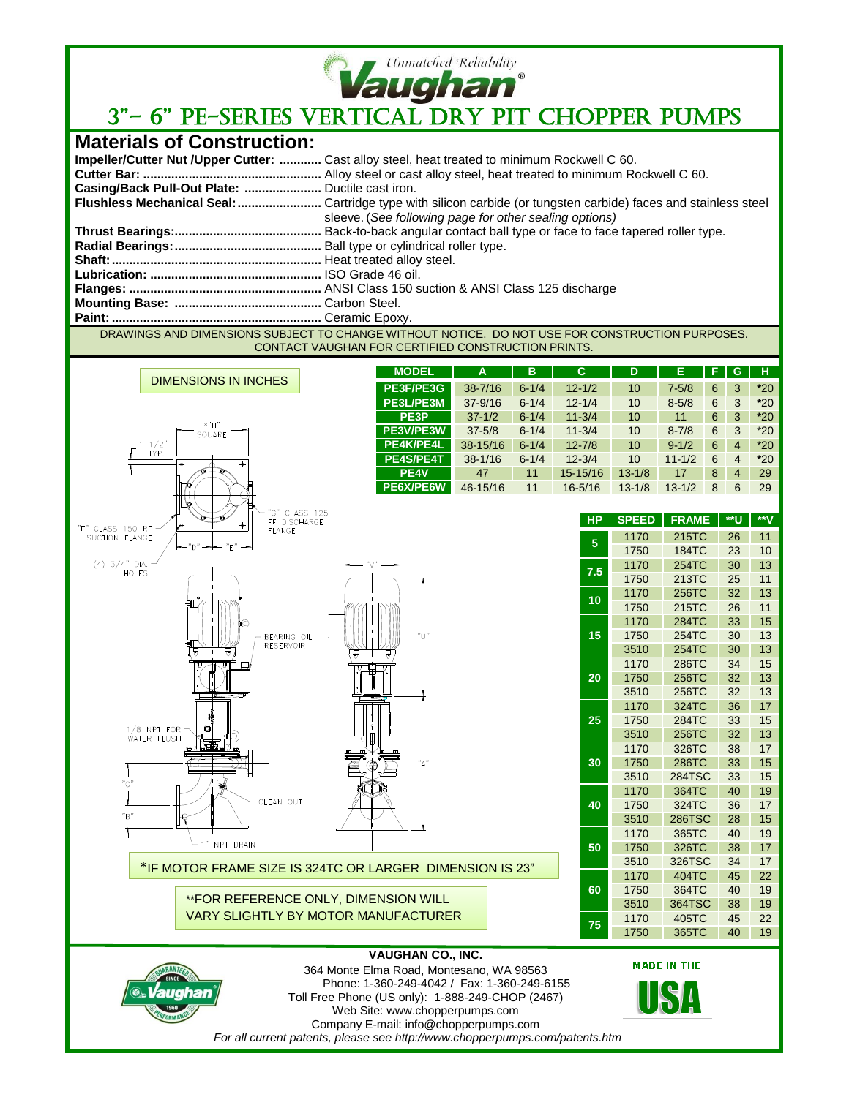

## **Vaughan**<br>3"- 6" PE-SERIES VERTICAL DRY PIT CHOPPER PUMPS

## **Materials of Construction:**

|                                                 | <b>Impeller/Cutter Nut /Upper Cutter: </b> Cast alloy steel, heat treated to minimum Rockwell C 60. |
|-------------------------------------------------|-----------------------------------------------------------------------------------------------------|
|                                                 |                                                                                                     |
| Casing/Back Pull-Out Plate:  Ductile cast iron. |                                                                                                     |
|                                                 |                                                                                                     |
|                                                 | sleeve. (See following page for other sealing options)                                              |
|                                                 |                                                                                                     |
|                                                 |                                                                                                     |
|                                                 |                                                                                                     |
|                                                 |                                                                                                     |
|                                                 |                                                                                                     |
|                                                 |                                                                                                     |
|                                                 |                                                                                                     |

DRAWINGS AND DIMENSIONS SUBJECT TO CHANGE WITHOUT NOTICE. DO NOT USE FOR CONSTRUCTION PURPOSES. CONTACT VAUGHAN FOR CERTIFIED CONSTRUCTION PRINTS.